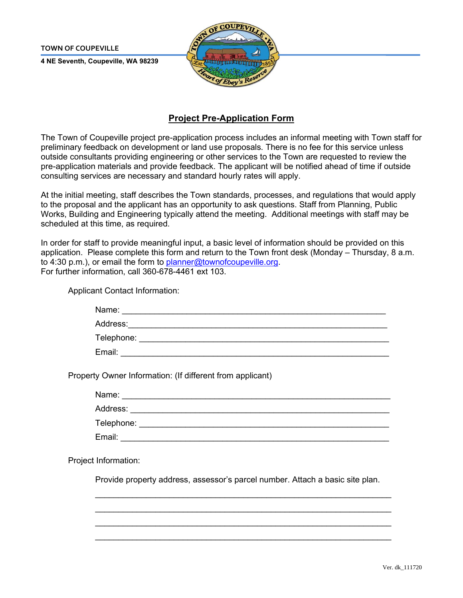**TOWN OF COUPEVILLE** 

**4 NE Seventh, Coupeville, WA 98239** 



## **Project Pre-Application Form**

The Town of Coupeville project pre-application process includes an informal meeting with Town staff for preliminary feedback on development or land use proposals. There is no fee for this service unless outside consultants providing engineering or other services to the Town are requested to review the pre-application materials and provide feedback. The applicant will be notified ahead of time if outside consulting services are necessary and standard hourly rates will apply.

At the initial meeting, staff describes the Town standards, processes, and regulations that would apply to the proposal and the applicant has an opportunity to ask questions. Staff from Planning, Public Works, Building and Engineering typically attend the meeting. Additional meetings with staff may be scheduled at this time, as required.

In order for staff to provide meaningful input, a basic level of information should be provided on this application. Please complete this form and return to the Town front desk (Monday – Thursday, 8 a.m. to 4:30 p.m.), or email the form to [planner@townofcoupeville.org.](mailto:planner@townofcoupeville.org) For further information, call 360-678-4461 ext 103.

Applicant Contact Information:

| Name:      |  |  |
|------------|--|--|
| Address:   |  |  |
| Telephone: |  |  |
| Email:     |  |  |

Property Owner Information: (If different from applicant)

Name: <u>with the compact of the compact</u> of the compact of the compact of the compact of the compact of the compact of the compact of the compact of the compact of the compact of the compact of the compact of the compact of

Address: \_\_\_\_\_\_\_\_\_\_\_\_\_\_\_\_\_\_\_\_\_\_\_\_\_\_\_\_\_\_\_\_\_\_\_\_\_\_\_\_\_\_\_\_\_\_\_\_\_\_\_\_\_\_\_\_

Telephone: \_\_\_\_\_\_\_\_\_\_\_\_\_\_\_\_\_\_\_\_\_\_\_\_\_\_\_\_\_\_\_\_\_\_\_\_\_\_\_\_\_\_\_\_\_\_\_\_\_\_\_\_\_\_

Email:

Project Information:

Provide property address, assessor's parcel number. Attach a basic site plan.

\_\_\_\_\_\_\_\_\_\_\_\_\_\_\_\_\_\_\_\_\_\_\_\_\_\_\_\_\_\_\_\_\_\_\_\_\_\_\_\_\_\_\_\_\_\_\_\_\_\_\_\_\_\_\_\_\_\_\_\_\_\_\_\_ \_\_\_\_\_\_\_\_\_\_\_\_\_\_\_\_\_\_\_\_\_\_\_\_\_\_\_\_\_\_\_\_\_\_\_\_\_\_\_\_\_\_\_\_\_\_\_\_\_\_\_\_\_\_\_\_\_\_\_\_\_\_\_\_  $\mathcal{L}_\text{max} = \mathcal{L}_\text{max} = \mathcal{L}_\text{max} = \mathcal{L}_\text{max} = \mathcal{L}_\text{max} = \mathcal{L}_\text{max} = \mathcal{L}_\text{max} = \mathcal{L}_\text{max} = \mathcal{L}_\text{max} = \mathcal{L}_\text{max} = \mathcal{L}_\text{max} = \mathcal{L}_\text{max} = \mathcal{L}_\text{max} = \mathcal{L}_\text{max} = \mathcal{L}_\text{max} = \mathcal{L}_\text{max} = \mathcal{L}_\text{max} = \mathcal{L}_\text{max} = \mathcal{$ \_\_\_\_\_\_\_\_\_\_\_\_\_\_\_\_\_\_\_\_\_\_\_\_\_\_\_\_\_\_\_\_\_\_\_\_\_\_\_\_\_\_\_\_\_\_\_\_\_\_\_\_\_\_\_\_\_\_\_\_\_\_\_\_